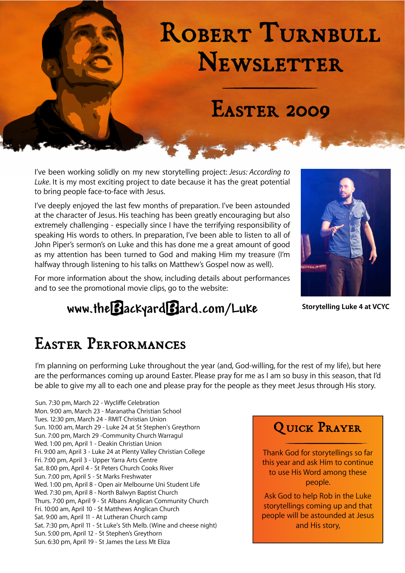# ROBERT TURNBULL **NEWSLETTER**

# Easter 2009

I've been working solidly on my new storytelling project: *Jesus: According to Luke*. It is my most exciting project to date because it has the great potential to bring people face‐to‐face with Jesus.

I've deeply enjoyed the last few months of preparation. I've been astounded at the character of Jesus. His teaching has been greatly encouraging but also extremely challenging ‐ especially since I have the terrifying responsibility of speaking His words to others. In preparation, I've been able to listen to all of John Piper's sermon's on Luke and this has done me a great amount of good as my attention has been turned to God and making Him my treasure (I'm halfway through listening to his talks on Matthew's Gospel now as well).

For more information about the show, including details about performances and to see the promotional movie clips, go to the website:

[www.theBackyardBard.com/](http://www.theBackyardBard.com/Luke)**L**uke **Storytelling Luke 4 at VCYC**



## Easter Performances

I'm planning on performing Luke throughout the year (and, God‐willing, for the rest of my life), but here are the performances coming up around Easter. Please pray for me as I am so busy in this season, that I'd be able to give my all to each one and please pray for the people as they meet Jesus through His story.

Sun. 7:30 pm, March 22 ‐ Wycliffe Celebration Mon. 9:00 am, March 23 ‐ Maranatha Christian School Tues. 12:30 pm, March 24 ‐ RMIT Christian Union Sun. 10:00 am, March 29 ‐ Luke 24 at St Stephen's Greythorn Sun. 7:00 pm, March 29 ‐Community Church Warragul Wed. 1:00 pm, April 1 ‐ Deakin Christian Union Fri. 9:00 am, April 3 ‐ Luke 24 at Plenty Valley Christian College Fri. 7:00 pm, April 3 ‐ Upper Yarra Arts Centre Sat. 8:00 pm, April 4 ‐ St Peters Church Cooks River Sun. 7:00 pm, April 5 ‐ St Marks Freshwater Wed. 1:00 pm, April 8 ‐ Open air Melbourne Uni Student Life Wed. 7:30 pm, April 8 ‐ North Balwyn Baptist Church Thurs. 7:00 pm, April 9 ‐ St Albans Anglican Community Church Fri. 10:00 am, April 10 ‐ St Matthews Anglican Church Sat. 9:00 am, April 11 ‐ At Lutheran Church camp Sat. 7:30 pm, April 11 ‐ St Luke's Sth Melb. (Wine and cheese night) Sun. 5:00 pm, April 12 ‐ St Stephen's Greythorn Sun. 6:30 pm, April 19 ‐ St James the Less Mt Eliza

#### QUICK PRAYER

Thank God for storytellings so far this year and ask Him to continue to use His Word among these people.

Ask God to help Rob in the Luke storytellings coming up and that people will be astounded at Jesus and His story,